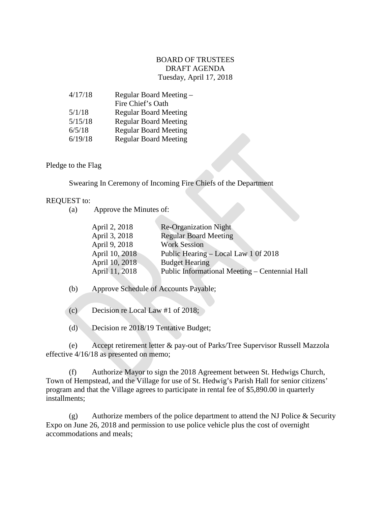## BOARD OF TRUSTEES DRAFT AGENDA Tuesday, April 17, 2018

| 4/17/18 | Regular Board Meeting –      |
|---------|------------------------------|
|         | Fire Chief's Oath            |
| 5/1/18  | <b>Regular Board Meeting</b> |
| 5/15/18 | <b>Regular Board Meeting</b> |
| 6/5/18  | <b>Regular Board Meeting</b> |
| 6/19/18 | <b>Regular Board Meeting</b> |

Pledge to the Flag

Swearing In Ceremony of Incoming Fire Chiefs of the Department

## REQUEST to:

(a) Approve the Minutes of:

| April 2, 2018  | <b>Re-Organization Night</b>                   |
|----------------|------------------------------------------------|
| April 3, 2018  | <b>Regular Board Meeting</b>                   |
| April 9, 2018  | <b>Work Session</b>                            |
| April 10, 2018 | Public Hearing – Local Law 1 0f 2018           |
| April 10, 2018 | <b>Budget Hearing</b>                          |
| April 11, 2018 | Public Informational Meeting – Centennial Hall |
|                |                                                |

(b) Approve Schedule of Accounts Payable;

(c) Decision re Local Law #1 of 2018;

(d) Decision re 2018/19 Tentative Budget;

(e) Accept retirement letter & pay-out of Parks/Tree Supervisor Russell Mazzola effective 4/16/18 as presented on memo;

(f) Authorize Mayor to sign the 2018 Agreement between St. Hedwigs Church, Town of Hempstead, and the Village for use of St. Hedwig's Parish Hall for senior citizens' program and that the Village agrees to participate in rental fee of \$5,890.00 in quarterly installments;

(g) Authorize members of the police department to attend the NJ Police & Security Expo on June 26, 2018 and permission to use police vehicle plus the cost of overnight accommodations and meals;